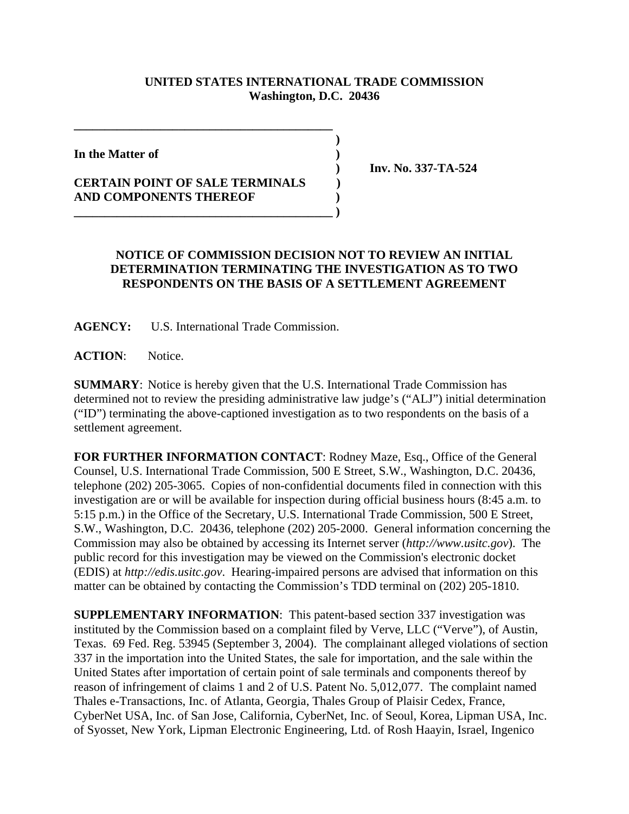## **UNITED STATES INTERNATIONAL TRADE COMMISSION Washington, D.C. 20436**

 **)**

**In the Matter of )**

## **CERTAIN POINT OF SALE TERMINALS ) AND COMPONENTS THEREOF ) \_\_\_\_\_\_\_\_\_\_\_\_\_\_\_\_\_\_\_\_\_\_\_\_\_\_\_\_\_\_\_\_\_\_\_\_\_\_\_\_\_\_ )**

**\_\_\_\_\_\_\_\_\_\_\_\_\_\_\_\_\_\_\_\_\_\_\_\_\_\_\_\_\_\_\_\_\_\_\_\_\_\_\_\_\_\_**

 **) Inv. No. 337-TA-524**

## **NOTICE OF COMMISSION DECISION NOT TO REVIEW AN INITIAL DETERMINATION TERMINATING THE INVESTIGATION AS TO TWO RESPONDENTS ON THE BASIS OF A SETTLEMENT AGREEMENT**

**AGENCY:** U.S. International Trade Commission.

**ACTION**: Notice.

**SUMMARY**: Notice is hereby given that the U.S. International Trade Commission has determined not to review the presiding administrative law judge's ("ALJ") initial determination ("ID") terminating the above-captioned investigation as to two respondents on the basis of a settlement agreement.

**FOR FURTHER INFORMATION CONTACT**: Rodney Maze, Esq., Office of the General Counsel, U.S. International Trade Commission, 500 E Street, S.W., Washington, D.C. 20436, telephone (202) 205-3065. Copies of non-confidential documents filed in connection with this investigation are or will be available for inspection during official business hours (8:45 a.m. to 5:15 p.m.) in the Office of the Secretary, U.S. International Trade Commission, 500 E Street, S.W., Washington, D.C. 20436, telephone (202) 205-2000. General information concerning the Commission may also be obtained by accessing its Internet server (*http://www.usitc.gov*). The public record for this investigation may be viewed on the Commission's electronic docket (EDIS) at *http://edis.usitc.gov*. Hearing-impaired persons are advised that information on this matter can be obtained by contacting the Commission's TDD terminal on (202) 205-1810.

**SUPPLEMENTARY INFORMATION**: This patent-based section 337 investigation was instituted by the Commission based on a complaint filed by Verve, LLC ("Verve"), of Austin, Texas. 69 Fed. Reg. 53945 (September 3, 2004). The complainant alleged violations of section 337 in the importation into the United States, the sale for importation, and the sale within the United States after importation of certain point of sale terminals and components thereof by reason of infringement of claims 1 and 2 of U.S. Patent No. 5,012,077. The complaint named Thales e-Transactions, Inc. of Atlanta, Georgia, Thales Group of Plaisir Cedex, France, CyberNet USA, Inc. of San Jose, California, CyberNet, Inc. of Seoul, Korea, Lipman USA, Inc. of Syosset, New York, Lipman Electronic Engineering, Ltd. of Rosh Haayin, Israel, Ingenico